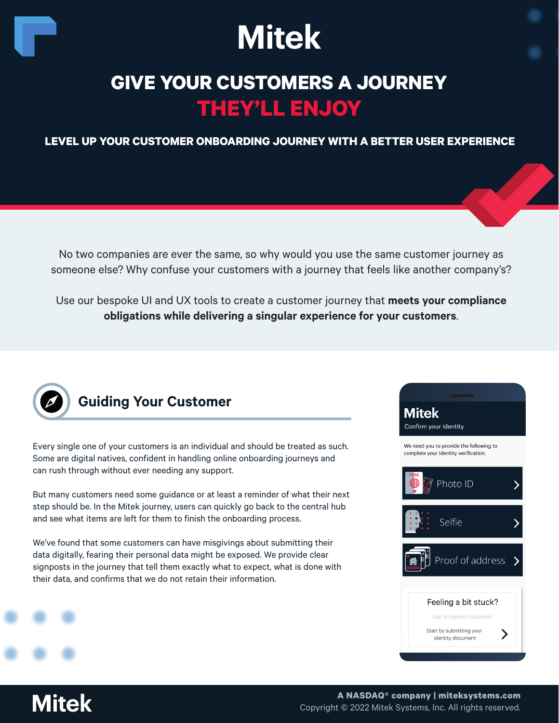

## **GIVE YOUR CUSTOMERS A JOURNEY THEY'LL ENJOY**

**LEVEL UP YOUR CUSTOMER ONBOARDING JOURNEY WITH A BETTER USER EXPERIENCE**

No two companies are ever the same, so why would you use the same customer journey as someone else? Why confuse your customers with a journey that feels like another company's?

Use our bespoke UI and UX tools to create a customer journey that **meets your compliance obligations while delivering a singular experience for your customers**.



## **Guiding Your Customer**

Every single one of your customers is an individual and should be treated as such. Some are digital natives, confident in handling online onboarding journeys and can rush through without ever needing any support.

But many customers need some guidance or at least a reminder of what their next step should be. In the Mitek journey, users can quickly go back to the central hub and see what items are left for them to finish the onboarding process.

We've found that some customers can have misgivings about submitting their data digitally, fearing their personal data might be exposed. We provide clear signposts in the journey that tell them exactly what to expect, what is done with their data, and confirms that we do not retain their information.



**Mitek**